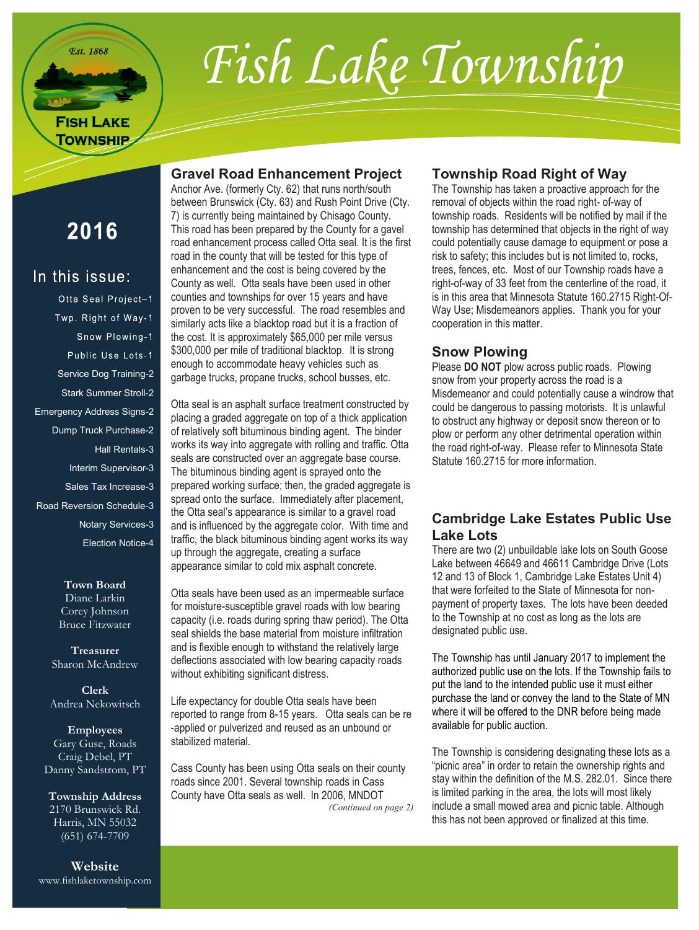**Est.** 1868

# Fish Lake Township

# **FISH LAKE TOWNSHIP**

# **Gravel Road Enhancement Project**

Anchor Ave. (formerly Cty. 62) that runs north/south between Brunswick (Cty. 63) and Rush Point Drive (Cty. 7) is currently being maintained by Chisago County. This road has been prepared by the County for a gavel road enhancement process called Otta seal. It is the first road in the county that will be tested for this type of enhancement and the cost is being covered by the County as well. Otta seals have been used in other counties and townships for over 15 years and have proven to be very successful. The road resembles and similarly acts like a blacktop road but it is a fraction of the cost. It is approximately \$65,000 per mile versus \$300,000 per mile of traditional blacktop. It is strong enough to accommodate heavy vehicles such as garbage trucks, propane trucks, school busses, etc.

Otta seal is an asphalt surface treatment constructed by placing a graded aggregate on top of a thick application of relatively soft bituminous binding agent. The binder works its way into aggregate with rolling and traffic. Otta seals are constructed over an aggregate base course. The bituminous binding agent is sprayed onto the prepared working surface; then, the graded aggregate is spread onto the surface. Immediately after placement, the Otta seal's appearance is similar to a gravel road and is influenced by the aggregate color. With time and traffic, the black bituminous binding agent works its way up through the aggregate, creating a surface appearance similar to cold mix asphalt concrete.

Otta seals have been used as an impermeable surface for moisture-susceptible gravel roads with low bearing capacity (i.e. roads during spring thaw period). The Otta seal shields the base material from moisture infiltration and is flexible enough to withstand the relatively large deflections associated with low bearing capacity roads without exhibiting significant distress.

Life expectancy for double Otta seals have been reported to range from 8-15 years. Otta seals can be re -applied or pulverized and reused as an unbound or stabilized material.

Cass County has been using Otta seals on their county roads since 2001. Several township roads in Cass County have Otta seals as well. In 2006, MNDOT *(Continued on page 2)*

# **Township Road Right of Way**

The Township has taken a proactive approach for the removal of objects within the road right- of-way of township roads. Residents will be notified by mail if the township has determined that objects in the right of way could potentially cause damage to equipment or pose a risk to safety; this includes but is not limited to, rocks, trees, fences, etc. Most of our Township roads have a right-of-way of 33 feet from the centerline of the road, it is in this area that Minnesota Statute 160.2715 Right-Of-Way Use; Misdemeanors applies. Thank you for your cooperation in this matter.

# **Snow Plowing**

Please **DO NOT** plow across public roads. Plowing snow from your property across the road is a Misdemeanor and could potentially cause a windrow that could be dangerous to passing motorists. It is unlawful to obstruct any highway or deposit snow thereon or to plow or perform any other detrimental operation within the road right-of-way. Please refer to Minnesota State Statute 160.2715 for more information.

# **Cambridge Lake Estates Public Use Lake Lots**

There are two (2) unbuildable lake lots on South Goose Lake between 46649 and 46611 Cambridge Drive (Lots 12 and 13 of Block 1, Cambridge Lake Estates Unit 4) that were forfeited to the State of Minnesota for nonpayment of property taxes. The lots have been deeded to the Township at no cost as long as the lots are designated public use.

The Township has until January 2017 to implement the authorized public use on the lots. If the Township fails to put the land to the intended public use it must either purchase the land or convey the land to the State of MN where it will be offered to the DNR before being made available for public auction.

The Township is considering designating these lots as a "picnic area" in order to retain the ownership rights and stay within the definition of the M.S. 282.01. Since there is limited parking in the area, the lots will most likely include a small mowed area and picnic table. Although this has not been approved or finalized at this time.

2016

In this issue: Otta Seal Project-1 Twp. Right of Way-1 Snow Plowing-1 Public Use Lots-1 Service Dog Training-2 Stark Summer Stroll-2 Emergency Address Signs-2 Dump Truck Purchase-2 Hall Rentals-3 Interim Supervisor-3 Sales Tax Increase-3 Road Reversion Schedule-3 Notary Services-3 Election Notice-4

> **Town Board** Diane Larkin Corey Johnson Bruce Fitzwater

**Treasurer** Sharon McAndrew

**Clerk** Andrea Nekowitsch

**Employees** Gary Guse, Roads Craig Debel, PT Danny Sandstrom, PT

**Township Address** 2170 Brunswick Rd. Harris, MN 55032 (651) 674-7709

**Website** www.fishlaketownship.com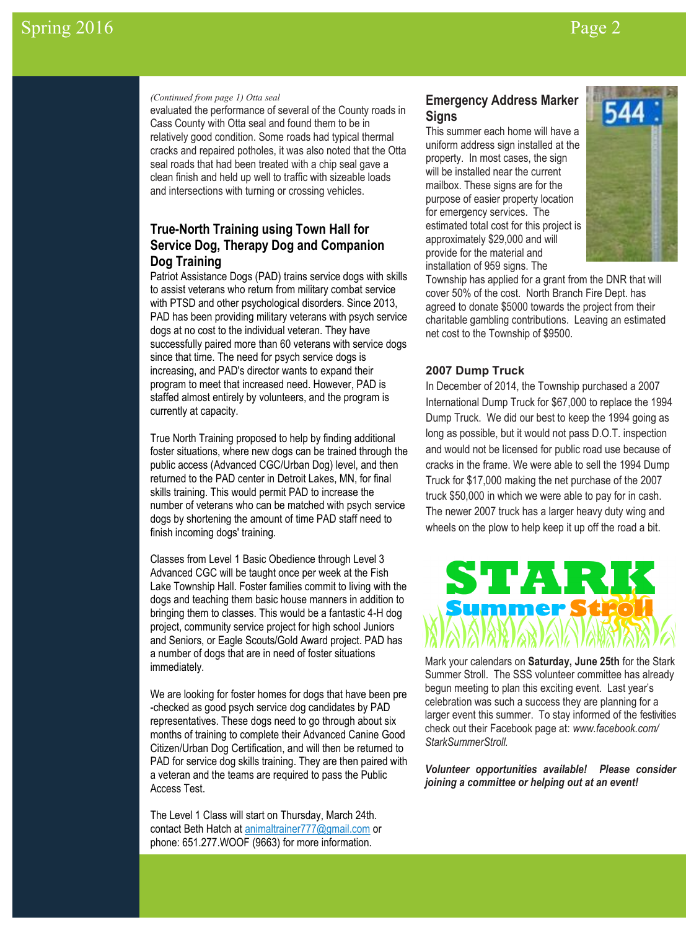### *(Continued from page 1) Otta seal*

evaluated the performance of several of the County roads in Cass County with Otta seal and found them to be in relatively good condition. Some roads had typical thermal cracks and repaired potholes, it was also noted that the Otta seal roads that had been treated with a chip seal gave a clean finish and held up well to traffic with sizeable loads and intersections with turning or crossing vehicles.

# **True-North Training using Town Hall for Service Dog, Therapy Dog and Companion Dog Training**

Patriot Assistance Dogs (PAD) trains service dogs with skills to assist veterans who return from military combat service with PTSD and other psychological disorders. Since 2013, PAD has been providing military veterans with psych service dogs at no cost to the individual veteran. They have successfully paired more than 60 veterans with service dogs since that time. The need for psych service dogs is increasing, and PAD's director wants to expand their program to meet that increased need. However, PAD is staffed almost entirely by volunteers, and the program is currently at capacity.

True North Training proposed to help by finding additional foster situations, where new dogs can be trained through the public access (Advanced CGC/Urban Dog) level, and then returned to the PAD center in Detroit Lakes, MN, for final skills training. This would permit PAD to increase the number of veterans who can be matched with psych service dogs by shortening the amount of time PAD staff need to finish incoming dogs' training.

Classes from Level 1 Basic Obedience through Level 3 Advanced CGC will be taught once per week at the Fish Lake Township Hall. Foster families commit to living with the dogs and teaching them basic house manners in addition to bringing them to classes. This would be a fantastic 4-H dog project, community service project for high school Juniors and Seniors, or Eagle Scouts/Gold Award project. PAD has a number of dogs that are in need of foster situations immediately.

We are looking for foster homes for dogs that have been pre -checked as good psych service dog candidates by PAD representatives. These dogs need to go through about six months of training to complete their Advanced Canine Good Citizen/Urban Dog Certification, and will then be returned to PAD for service dog skills training. They are then paired with a veteran and the teams are required to pass the Public Access Test.

The Level 1 Class will start on Thursday, March 24th. contact Beth Hatch at [animaltrainer777@gmail.com](mailto:animaltrainer777@gmail.com) or phone: 651.277.WOOF (9663) for more information.

# **Emergency Address Marker Signs**

This summer each home will have a uniform address sign installed at the property. In most cases, the sign will be installed near the current mailbox. These signs are for the purpose of easier property location for emergency services. The estimated total cost for this project is approximately \$29,000 and will provide for the material and installation of 959 signs. The



Township has applied for a grant from the DNR that will cover 50% of the cost. North Branch Fire Dept. has agreed to donate \$5000 towards the project from their charitable gambling contributions. Leaving an estimated net cost to the Township of \$9500.

## **2007 Dump Truck**

In December of 2014, the Township purchased a 2007 International Dump Truck for \$67,000 to replace the 1994 Dump Truck. We did our best to keep the 1994 going as long as possible, but it would not pass D.O.T. inspection and would not be licensed for public road use because of cracks in the frame. We were able to sell the 1994 Dump Truck for \$17,000 making the net purchase of the 2007 truck \$50,000 in which we were able to pay for in cash. The newer 2007 truck has a larger heavy duty wing and wheels on the plow to help keep it up off the road a bit.



Mark your calendars on **Saturday, June 25th** for the Stark Summer Stroll. The SSS volunteer committee has already begun meeting to plan this exciting event. Last year's celebration was such a success they are planning for a larger event this summer. To stay informed of the festivities check out their Facebook page at: *www.facebook.com/ StarkSummerStroll.* 

*Volunteer opportunities available! Please consider joining a committee or helping out at an event!*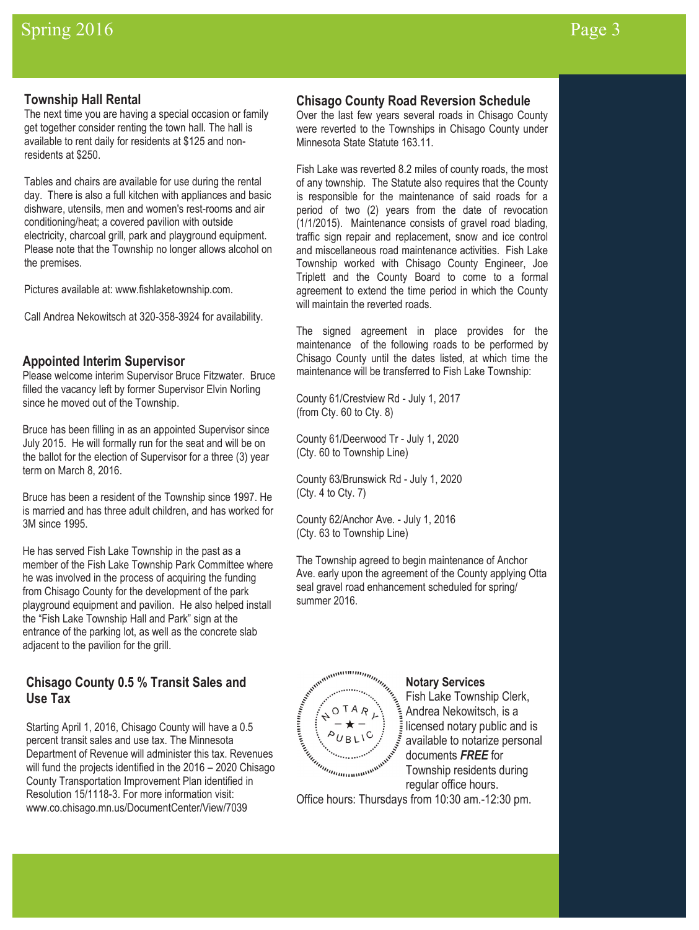# **Township Hall Rental**

The next time you are having a special occasion or family get together consider renting the town hall. The hall is available to rent daily for residents at \$125 and nonresidents at \$250.

Tables and chairs are available for use during the rental day. There is also a full kitchen with appliances and basic dishware, utensils, men and women's rest-rooms and air conditioning/heat; a covered pavilion with outside electricity, charcoal grill, park and playground equipment. Please note that the Township no longer allows alcohol on the premises.

Pictures available at: www.fishlaketownship.com.

Call Andrea Nekowitsch at 320-358-3924 for availability.

## **Appointed Interim Supervisor**

Please welcome interim Supervisor Bruce Fitzwater. Bruce filled the vacancy left by former Supervisor Elvin Norling since he moved out of the Township.

Bruce has been filling in as an appointed Supervisor since July 2015. He will formally run for the seat and will be on the ballot for the election of Supervisor for a three (3) year term on March 8, 2016.

Bruce has been a resident of the Township since 1997. He is married and has three adult children, and has worked for 3M since 1995.

He has served Fish Lake Township in the past as a member of the Fish Lake Township Park Committee where he was involved in the process of acquiring the funding from Chisago County for the development of the park playground equipment and pavilion. He also helped install the "Fish Lake Township Hall and Park" sign at the entrance of the parking lot, as well as the concrete slab adjacent to the pavilion for the grill.

# **Chisago County 0.5 % Transit Sales and Use Tax**

Starting April 1, 2016, Chisago County will have a 0.5 percent transit sales and use tax. The Minnesota Department of Revenue will administer this tax. Revenues will fund the projects identified in the 2016 – 2020 Chisago County Transportation Improvement Plan identified in Resolution 15/1118-3. For more information visit: www.co.chisago.mn.us/DocumentCenter/View/7039

### **Chisago County Road Reversion Schedule**

Over the last few years several roads in Chisago County were reverted to the Townships in Chisago County under Minnesota State Statute 163.11.

Fish Lake was reverted 8.2 miles of county roads, the most of any township. The Statute also requires that the County is responsible for the maintenance of said roads for a period of two (2) years from the date of revocation (1/1/2015). Maintenance consists of gravel road blading, traffic sign repair and replacement, snow and ice control and miscellaneous road maintenance activities. Fish Lake Township worked with Chisago County Engineer, Joe Triplett and the County Board to come to a formal agreement to extend the time period in which the County will maintain the reverted roads.

The signed agreement in place provides for the maintenance of the following roads to be performed by Chisago County until the dates listed, at which time the maintenance will be transferred to Fish Lake Township:

County 61/Crestview Rd - July 1, 2017 (from Cty. 60 to Cty. 8)

County 61/Deerwood Tr - July 1, 2020 (Cty. 60 to Township Line)

County 63/Brunswick Rd - July 1, 2020 (Cty. 4 to Cty. 7)

County 62/Anchor Ave. - July 1, 2016 (Cty. 63 to Township Line)

The Township agreed to begin maintenance of Anchor Ave. early upon the agreement of the County applying Otta seal gravel road enhancement scheduled for spring/ summer 2016.



Fish Lake Township Clerk, Andrea Nekowitsch, is a licensed notary public and is available to notarize personal documents *FREE* for Township residents during regular office hours.

Office hours: Thursdays from 10:30 am.-12:30 pm.